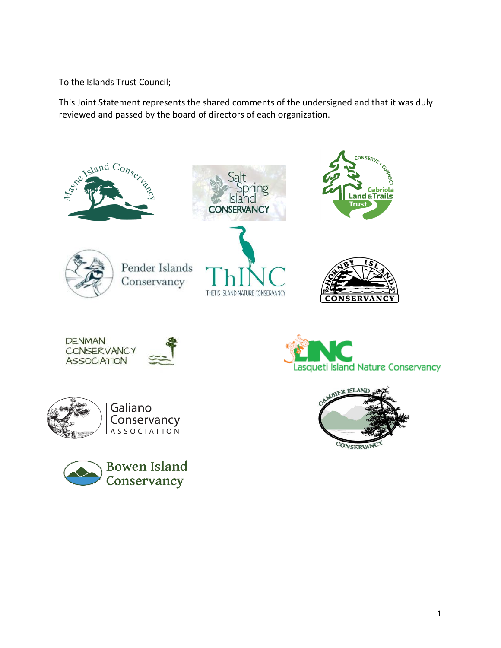To the Islands Trust Council;

This Joint Statement represents the shared comments of the undersigned and that it was duly reviewed and passed by the board of directors of each organization.

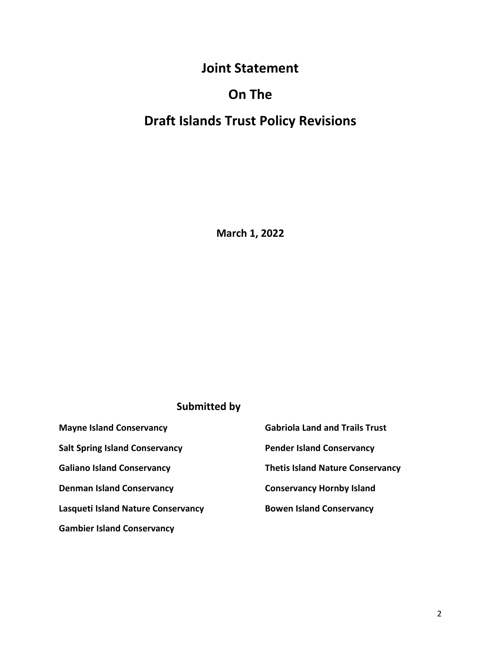# **Joint Statement**

## **On The**

# **Draft Islands Trust Policy Revisions**

**March 1, 2022**

### **Submitted by**

| <b>Mayne Island Conservancy</b>           | <b>Gabriola Land and Trails Trust</b>   |
|-------------------------------------------|-----------------------------------------|
| <b>Salt Spring Island Conservancy</b>     | <b>Pender Island Conservancy</b>        |
| <b>Galiano Island Conservancy</b>         | <b>Thetis Island Nature Conservancy</b> |
| <b>Denman Island Conservancy</b>          | <b>Conservancy Hornby Island</b>        |
| <b>Lasqueti Island Nature Conservancy</b> | <b>Bowen Island Conservancy</b>         |
| <b>Gambier Island Conservancy</b>         |                                         |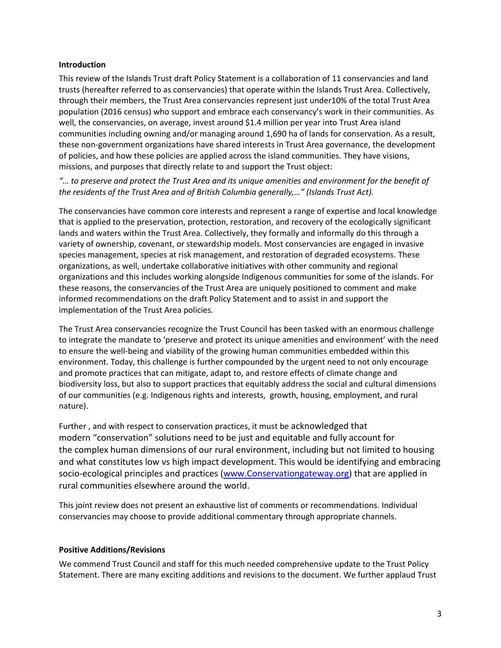#### **Introduction**

This review of the Islands Trust draft Policy Statement is a collaboration of 11 conservancies and land trusts (hereafter referred to as conservancies) that operate within the Islands Trust Area. Collectively, through their members, the Trust Area conservancies represent just under10% of the total Trust Area population (2016 census) who support and embrace each conservancy's work in their communities. As well, the conservancies, on average, invest around \$1.4 million per year into Trust Area island communities including owning and/or managing around 1,690 ha of lands for conservation. As a result, these non-government organizations have shared interests in Trust Area governance, the development of policies, and how these policies are applied across the island communities. They have visions, missions, and purposes that directly relate to and support the Trust object:

*"… to preserve and protect the Trust Area and its unique amenities and environment for the benefit of the residents of the Trust Area and of British Columbia generally,…" (Islands Trust Act).*

The conservancies have common core interests and represent a range of expertise and local knowledge that is applied to the preservation, protection, restoration, and recovery of the ecologically significant lands and waters within the Trust Area. Collectively, they formally and informally do this through a variety of ownership, covenant, or stewardship models. Most conservancies are engaged in invasive species management, species at risk management, and restoration of degraded ecosystems. These organizations, as well, undertake collaborative initiatives with other community and regional organizations and this includes working alongside Indigenous communities for some of the islands. For these reasons, the conservancies of the Trust Area are uniquely positioned to comment and make informed recommendations on the draft Policy Statement and to assist in and support the implementation of the Trust Area policies.

The Trust Area conservancies recognize the Trust Council has been tasked with an enormous challenge to integrate the mandate to 'preserve and protect its unique amenities and environment' with the need to ensure the well-being and viability of the growing human communities embedded within this environment. Today, this challenge is further compounded by the urgent need to not only encourage and promote practices that can mitigate, adapt to, and restore effects of climate change and biodiversity loss, but also to support practices that equitably address the social and cultural dimensions of our communities (e.g. Indigenous rights and interests, growth, housing, employment, and rural nature).

Further , and with respect to conservation practices, it must be acknowledged that modern "conservation" solutions need to be just and equitable and fully account for the complex human dimensions of our rural environment, including but not limited to housing and what constitutes low vs high impact development. This would be identifying and embracing socio-ecological principles and practices [\(www.Conservationgateway.org\)](http://www.conservationgateway.org/) that are applied in rural communities elsewhere around the world.

This joint review does not present an exhaustive list of comments or recommendations. Individual conservancies may choose to provide additional commentary through appropriate channels.

#### **Positive Additions/Revisions**

We commend Trust Council and staff for this much needed comprehensive update to the Trust Policy Statement. There are many exciting additions and revisions to the document. We further applaud Trust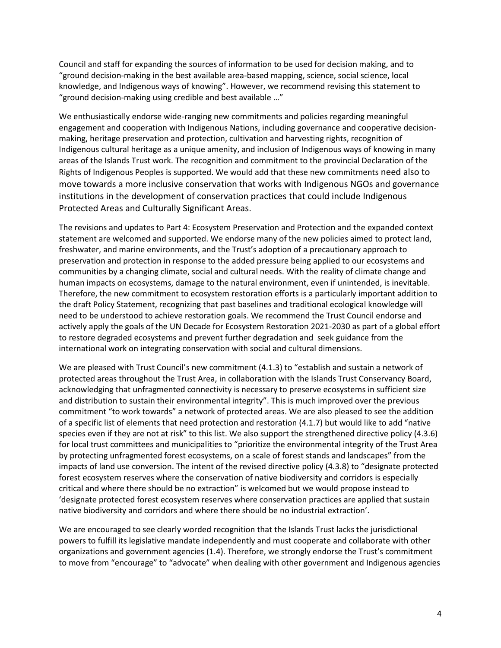Council and staff for expanding the sources of information to be used for decision making, and to "ground decision-making in the best available area-based mapping, science, social science, local knowledge, and Indigenous ways of knowing". However, we recommend revising this statement to "ground decision-making using credible and best available …"

We enthusiastically endorse wide-ranging new commitments and policies regarding meaningful engagement and cooperation with Indigenous Nations, including governance and cooperative decisionmaking, heritage preservation and protection, cultivation and harvesting rights, recognition of Indigenous cultural heritage as a unique amenity, and inclusion of Indigenous ways of knowing in many areas of the Islands Trust work. The recognition and commitment to the provincial Declaration of the Rights of Indigenous Peoples is supported. We would add that these new commitments need also to move towards a more inclusive conservation that works with Indigenous NGOs and governance institutions in the development of conservation practices that could include Indigenous Protected Areas and Culturally Significant Areas.

The revisions and updates to Part 4: Ecosystem Preservation and Protection and the expanded context statement are welcomed and supported. We endorse many of the new policies aimed to protect land, freshwater, and marine environments, and the Trust's adoption of a precautionary approach to preservation and protection in response to the added pressure being applied to our ecosystems and communities by a changing climate, social and cultural needs. With the reality of climate change and human impacts on ecosystems, damage to the natural environment, even if unintended, is inevitable. Therefore, the new commitment to ecosystem restoration efforts is a particularly important addition to the draft Policy Statement, recognizing that past baselines and traditional ecological knowledge will need to be understood to achieve restoration goals. We recommend the Trust Council endorse and actively apply the goals of the UN Decade for Ecosystem Restoration 2021-2030 as part of a global effort to restore degraded ecosystems and prevent further degradation and seek guidance from the international work on integrating conservation with social and cultural dimensions.

We are pleased with Trust Council's new commitment (4.1.3) to "establish and sustain a network of protected areas throughout the Trust Area, in collaboration with the Islands Trust Conservancy Board, acknowledging that unfragmented connectivity is necessary to preserve ecosystems in sufficient size and distribution to sustain their environmental integrity". This is much improved over the previous commitment "to work towards" a network of protected areas. We are also pleased to see the addition of a specific list of elements that need protection and restoration (4.1.7) but would like to add "native species even if they are not at risk" to this list. We also support the strengthened directive policy (4.3.6) for local trust committees and municipalities to "prioritize the environmental integrity of the Trust Area by protecting unfragmented forest ecosystems, on a scale of forest stands and landscapes" from the impacts of land use conversion. The intent of the revised directive policy (4.3.8) to "designate protected forest ecosystem reserves where the conservation of native biodiversity and corridors is especially critical and where there should be no extraction" is welcomed but we would propose instead to 'designate protected forest ecosystem reserves where conservation practices are applied that sustain native biodiversity and corridors and where there should be no industrial extraction'.

We are encouraged to see clearly worded recognition that the Islands Trust lacks the jurisdictional powers to fulfill its legislative mandate independently and must cooperate and collaborate with other organizations and government agencies (1.4). Therefore, we strongly endorse the Trust's commitment to move from "encourage" to "advocate" when dealing with other government and Indigenous agencies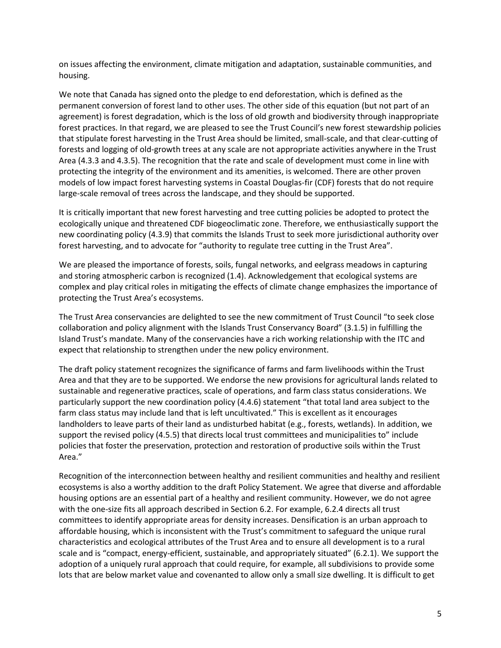on issues affecting the environment, climate mitigation and adaptation, sustainable communities, and housing.

We note that Canada has signed onto the pledge to end deforestation, which is defined as the permanent conversion of forest land to other uses. The other side of this equation (but not part of an agreement) is forest degradation, which is the loss of old growth and biodiversity through inappropriate forest practices. In that regard, we are pleased to see the Trust Council's new forest stewardship policies that stipulate forest harvesting in the Trust Area should be limited, small-scale, and that clear-cutting of forests and logging of old-growth trees at any scale are not appropriate activities anywhere in the Trust Area (4.3.3 and 4.3.5). The recognition that the rate and scale of development must come in line with protecting the integrity of the environment and its amenities, is welcomed. There are other proven models of low impact forest harvesting systems in Coastal Douglas-fir (CDF) forests that do not require large-scale removal of trees across the landscape, and they should be supported.

It is critically important that new forest harvesting and tree cutting policies be adopted to protect the ecologically unique and threatened CDF biogeoclimatic zone. Therefore, we enthusiastically support the new coordinating policy (4.3.9) that commits the Islands Trust to seek more jurisdictional authority over forest harvesting, and to advocate for "authority to regulate tree cutting in the Trust Area".

We are pleased the importance of forests, soils, fungal networks, and eelgrass meadows in capturing and storing atmospheric carbon is recognized (1.4). Acknowledgement that ecological systems are complex and play critical roles in mitigating the effects of climate change emphasizes the importance of protecting the Trust Area's ecosystems.

The Trust Area conservancies are delighted to see the new commitment of Trust Council "to seek close collaboration and policy alignment with the Islands Trust Conservancy Board" (3.1.5) in fulfilling the Island Trust's mandate. Many of the conservancies have a rich working relationship with the ITC and expect that relationship to strengthen under the new policy environment.

The draft policy statement recognizes the significance of farms and farm livelihoods within the Trust Area and that they are to be supported. We endorse the new provisions for agricultural lands related to sustainable and regenerative practices, scale of operations, and farm class status considerations. We particularly support the new coordination policy (4.4.6) statement "that total land area subject to the farm class status may include land that is left uncultivated." This is excellent as it encourages landholders to leave parts of their land as undisturbed habitat (e.g., forests, wetlands). In addition, we support the revised policy (4.5.5) that directs local trust committees and municipalities to" include policies that foster the preservation, protection and restoration of productive soils within the Trust Area."

Recognition of the interconnection between healthy and resilient communities and healthy and resilient ecosystems is also a worthy addition to the draft Policy Statement. We agree that diverse and affordable housing options are an essential part of a healthy and resilient community. However, we do not agree with the one-size fits all approach described in Section 6.2. For example, 6.2.4 directs all trust committees to identify appropriate areas for density increases. Densification is an urban approach to affordable housing, which is inconsistent with the Trust's commitment to safeguard the unique rural characteristics and ecological attributes of the Trust Area and to ensure all development is to a rural scale and is "compact, energy-efficient, sustainable, and appropriately situated" (6.2.1). We support the adoption of a uniquely rural approach that could require, for example, all subdivisions to provide some lots that are below market value and covenanted to allow only a small size dwelling. It is difficult to get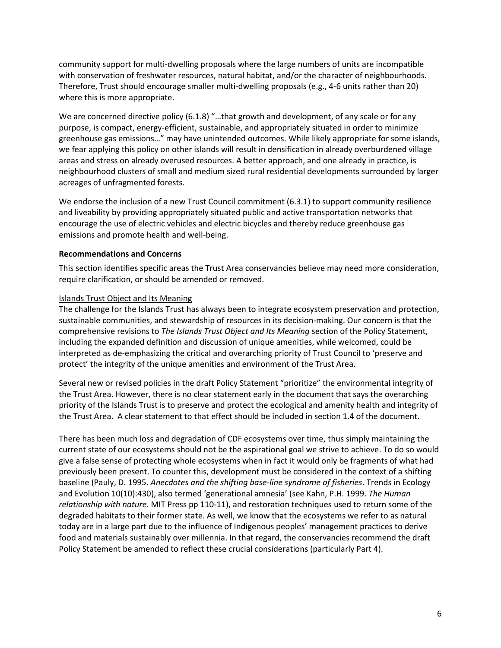community support for multi-dwelling proposals where the large numbers of units are incompatible with conservation of freshwater resources, natural habitat, and/or the character of neighbourhoods. Therefore, Trust should encourage smaller multi-dwelling proposals (e.g., 4-6 units rather than 20) where this is more appropriate.

We are concerned directive policy (6.1.8) "…that growth and development, of any scale or for any purpose, is compact, energy-efficient, sustainable, and appropriately situated in order to minimize greenhouse gas emissions…" may have unintended outcomes. While likely appropriate for some islands, we fear applying this policy on other islands will result in densification in already overburdened village areas and stress on already overused resources. A better approach, and one already in practice, is neighbourhood clusters of small and medium sized rural residential developments surrounded by larger acreages of unfragmented forests.

We endorse the inclusion of a new Trust Council commitment (6.3.1) to support community resilience and liveability by providing appropriately situated public and active transportation networks that encourage the use of electric vehicles and electric bicycles and thereby reduce greenhouse gas emissions and promote health and well-being.

#### **Recommendations and Concerns**

This section identifies specific areas the Trust Area conservancies believe may need more consideration, require clarification, or should be amended or removed.

#### Islands Trust Object and Its Meaning

The challenge for the Islands Trust has always been to integrate ecosystem preservation and protection, sustainable communities, and stewardship of resources in its decision-making. Our concern is that the comprehensive revisions to *The Islands Trust Object and Its Meaning* section of the Policy Statement, including the expanded definition and discussion of unique amenities, while welcomed, could be interpreted as de-emphasizing the critical and overarching priority of Trust Council to 'preserve and protect' the integrity of the unique amenities and environment of the Trust Area.

Several new or revised policies in the draft Policy Statement "prioritize" the environmental integrity of the Trust Area. However, there is no clear statement early in the document that says the overarching priority of the Islands Trust is to preserve and protect the ecological and amenity health and integrity of the Trust Area. A clear statement to that effect should be included in section 1.4 of the document.

There has been much loss and degradation of CDF ecosystems over time, thus simply maintaining the current state of our ecosystems should not be the aspirational goal we strive to achieve. To do so would give a false sense of protecting whole ecosystems when in fact it would only be fragments of what had previously been present. To counter this, development must be considered in the context of a shifting baseline (Pauly, D. 1995. *Anecdotes and the shifting base-line syndrome of fisheries*. Trends in Ecology and Evolution 10(10):430), also termed 'generational amnesia' (see Kahn, P.H. 1999. *The Human relationship with nature.* MIT Press pp 110-11), and restoration techniques used to return some of the degraded habitats to their former state. As well, we know that the ecosystems we refer to as natural today are in a large part due to the influence of Indigenous peoples' management practices to derive food and materials sustainably over millennia. In that regard, the conservancies recommend the draft Policy Statement be amended to reflect these crucial considerations (particularly Part 4).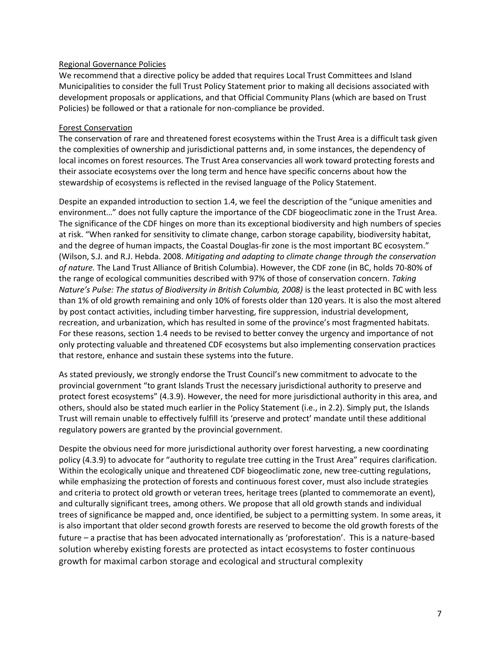#### Regional Governance Policies

We recommend that a directive policy be added that requires Local Trust Committees and Island Municipalities to consider the full Trust Policy Statement prior to making all decisions associated with development proposals or applications, and that Official Community Plans (which are based on Trust Policies) be followed or that a rationale for non-compliance be provided.

#### Forest Conservation

The conservation of rare and threatened forest ecosystems within the Trust Area is a difficult task given the complexities of ownership and jurisdictional patterns and, in some instances, the dependency of local incomes on forest resources. The Trust Area conservancies all work toward protecting forests and their associate ecosystems over the long term and hence have specific concerns about how the stewardship of ecosystems is reflected in the revised language of the Policy Statement.

Despite an expanded introduction to section 1.4, we feel the description of the "unique amenities and environment…" does not fully capture the importance of the CDF biogeoclimatic zone in the Trust Area. The significance of the CDF hinges on more than its exceptional biodiversity and high numbers of species at risk. "When ranked for sensitivity to climate change, carbon storage capability, biodiversity habitat, and the degree of human impacts, the Coastal Douglas-fir zone is the most important BC ecosystem." (Wilson, S.J. and R.J. Hebda. 2008. *Mitigating and adapting to climate change through the conservation of nature.* The Land Trust Alliance of British Columbia). However, the CDF zone (in BC, holds 70-80% of the range of ecological communities described with 97% of those of conservation concern. *Taking Nature's Pulse: The status of Biodiversity in British Columbia, 2008)* is the least protected in BC with less than 1% of old growth remaining and only 10% of forests older than 120 years. It is also the most altered by post contact activities, including timber harvesting, fire suppression, industrial development, recreation, and urbanization, which has resulted in some of the province's most fragmented habitats. For these reasons, section 1.4 needs to be revised to better convey the urgency and importance of not only protecting valuable and threatened CDF ecosystems but also implementing conservation practices that restore, enhance and sustain these systems into the future.

As stated previously, we strongly endorse the Trust Council's new commitment to advocate to the provincial government "to grant Islands Trust the necessary jurisdictional authority to preserve and protect forest ecosystems" (4.3.9). However, the need for more jurisdictional authority in this area, and others, should also be stated much earlier in the Policy Statement (i.e., in 2.2). Simply put, the Islands Trust will remain unable to effectively fulfill its 'preserve and protect' mandate until these additional regulatory powers are granted by the provincial government.

Despite the obvious need for more jurisdictional authority over forest harvesting, a new coordinating policy (4.3.9) to advocate for "authority to regulate tree cutting in the Trust Area" requires clarification. Within the ecologically unique and threatened CDF biogeoclimatic zone, new tree-cutting regulations, while emphasizing the protection of forests and continuous forest cover, must also include strategies and criteria to protect old growth or veteran trees, heritage trees (planted to commemorate an event), and culturally significant trees, among others. We propose that all old growth stands and individual trees of significance be mapped and, once identified, be subject to a permitting system. In some areas, it is also important that older second growth forests are reserved to become the old growth forests of the future – a practise that has been advocated internationally as 'proforestation'. This is a nature-based solution whereby existing forests are protected as intact ecosystems to foster continuous growth for maximal carbon storage and ecological and structural complexity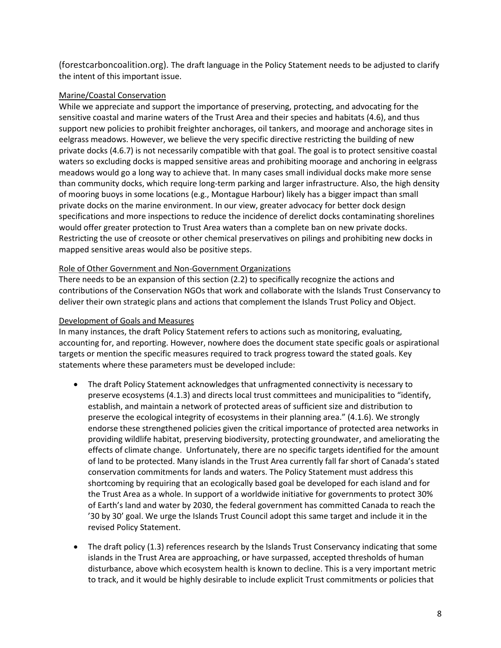(forestcarboncoalition.org). The draft language in the Policy Statement needs to be adjusted to clarify the intent of this important issue.

#### Marine/Coastal Conservation

While we appreciate and support the importance of preserving, protecting, and advocating for the sensitive coastal and marine waters of the Trust Area and their species and habitats (4.6), and thus support new policies to prohibit freighter anchorages, oil tankers, and moorage and anchorage sites in eelgrass meadows. However, we believe the very specific directive restricting the building of new private docks (4.6.7) is not necessarily compatible with that goal. The goal is to protect sensitive coastal waters so excluding docks is mapped sensitive areas and prohibiting moorage and anchoring in eelgrass meadows would go a long way to achieve that. In many cases small individual docks make more sense than community docks, which require long-term parking and larger infrastructure. Also, the high density of mooring buoys in some locations (e.g., Montague Harbour) likely has a bigger impact than small private docks on the marine environment. In our view, greater advocacy for better dock design specifications and more inspections to reduce the incidence of derelict docks contaminating shorelines would offer greater protection to Trust Area waters than a complete ban on new private docks. Restricting the use of creosote or other chemical preservatives on pilings and prohibiting new docks in mapped sensitive areas would also be positive steps.

#### Role of Other Government and Non-Government Organizations

There needs to be an expansion of this section (2.2) to specifically recognize the actions and contributions of the Conservation NGOs that work and collaborate with the Islands Trust Conservancy to deliver their own strategic plans and actions that complement the Islands Trust Policy and Object.

#### Development of Goals and Measures

In many instances, the draft Policy Statement refers to actions such as monitoring, evaluating, accounting for, and reporting. However, nowhere does the document state specific goals or aspirational targets or mention the specific measures required to track progress toward the stated goals. Key statements where these parameters must be developed include:

- The draft Policy Statement acknowledges that unfragmented connectivity is necessary to preserve ecosystems (4.1.3) and directs local trust committees and municipalities to "identify, establish, and maintain a network of protected areas of sufficient size and distribution to preserve the ecological integrity of ecosystems in their planning area." (4.1.6). We strongly endorse these strengthened policies given the critical importance of protected area networks in providing wildlife habitat, preserving biodiversity, protecting groundwater, and ameliorating the effects of climate change. Unfortunately, there are no specific targets identified for the amount of land to be protected. Many islands in the Trust Area currently fall far short of Canada's stated conservation commitments for lands and waters. The Policy Statement must address this shortcoming by requiring that an ecologically based goal be developed for each island and for the Trust Area as a whole. In support of a worldwide initiative for governments to protect 30% of Earth's land and water by 2030, the federal government has committed Canada to reach the '30 by 30' goal. We urge the Islands Trust Council adopt this same target and include it in the revised Policy Statement.
- The draft policy (1.3) references research by the Islands Trust Conservancy indicating that some islands in the Trust Area are approaching, or have surpassed, accepted thresholds of human disturbance, above which ecosystem health is known to decline. This is a very important metric to track, and it would be highly desirable to include explicit Trust commitments or policies that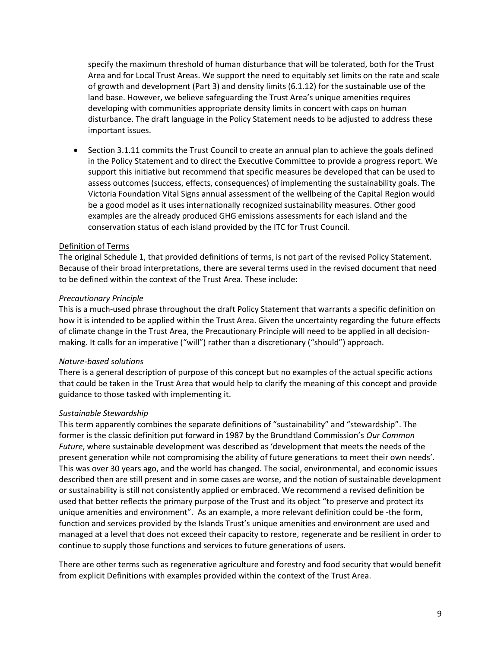specify the maximum threshold of human disturbance that will be tolerated, both for the Trust Area and for Local Trust Areas. We support the need to equitably set limits on the rate and scale of growth and development (Part 3) and density limits (6.1.12) for the sustainable use of the land base. However, we believe safeguarding the Trust Area's unique amenities requires developing with communities appropriate density limits in concert with caps on human disturbance. The draft language in the Policy Statement needs to be adjusted to address these important issues.

 Section 3.1.11 commits the Trust Council to create an annual plan to achieve the goals defined in the Policy Statement and to direct the Executive Committee to provide a progress report. We support this initiative but recommend that specific measures be developed that can be used to assess outcomes (success, effects, consequences) of implementing the sustainability goals. The Victoria Foundation Vital Signs annual assessment of the wellbeing of the Capital Region would be a good model as it uses internationally recognized sustainability measures. Other good examples are the already produced GHG emissions assessments for each island and the conservation status of each island provided by the ITC for Trust Council.

#### Definition of Terms

The original Schedule 1, that provided definitions of terms, is not part of the revised Policy Statement. Because of their broad interpretations, there are several terms used in the revised document that need to be defined within the context of the Trust Area. These include:

#### *Precautionary Principle*

This is a much-used phrase throughout the draft Policy Statement that warrants a specific definition on how it is intended to be applied within the Trust Area. Given the uncertainty regarding the future effects of climate change in the Trust Area, the Precautionary Principle will need to be applied in all decisionmaking. It calls for an imperative ("will") rather than a discretionary ("should") approach.

#### *Nature-based solutions*

There is a general description of purpose of this concept but no examples of the actual specific actions that could be taken in the Trust Area that would help to clarify the meaning of this concept and provide guidance to those tasked with implementing it.

#### *Sustainable Stewardship*

This term apparently combines the separate definitions of "sustainability" and "stewardship". The former is the classic definition put forward in 1987 by the Brundtland Commission's *Our Common Future*, where sustainable development was described as 'development that meets the needs of the present generation while not compromising the ability of future generations to meet their own needs'. This was over 30 years ago, and the world has changed. The social, environmental, and economic issues described then are still present and in some cases are worse, and the notion of sustainable development or sustainability is still not consistently applied or embraced. We recommend a revised definition be used that better reflects the primary purpose of the Trust and its object "to preserve and protect its unique amenities and environment". As an example, a more relevant definition could be -the form, function and services provided by the Islands Trust's unique amenities and environment are used and managed at a level that does not exceed their capacity to restore, regenerate and be resilient in order to continue to supply those functions and services to future generations of users.

There are other terms such as regenerative agriculture and forestry and food security that would benefit from explicit Definitions with examples provided within the context of the Trust Area.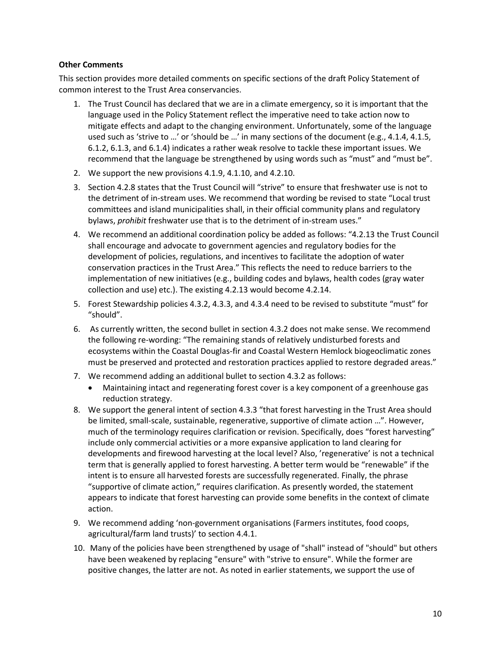#### **Other Comments**

This section provides more detailed comments on specific sections of the draft Policy Statement of common interest to the Trust Area conservancies.

- 1. The Trust Council has declared that we are in a climate emergency, so it is important that the language used in the Policy Statement reflect the imperative need to take action now to mitigate effects and adapt to the changing environment. Unfortunately, some of the language used such as 'strive to …' or 'should be …' in many sections of the document (e.g., 4.1.4, 4.1.5, 6.1.2, 6.1.3, and 6.1.4) indicates a rather weak resolve to tackle these important issues. We recommend that the language be strengthened by using words such as "must" and "must be".
- 2. We support the new provisions 4.1.9, 4.1.10, and 4.2.10.
- 3. Section 4.2.8 states that the Trust Council will "strive" to ensure that freshwater use is not to the detriment of in-stream uses. We recommend that wording be revised to state "Local trust committees and island municipalities shall, in their official community plans and regulatory bylaws, *prohibit* freshwater use that is to the detriment of in-stream uses."
- 4. We recommend an additional coordination policy be added as follows: "4.2.13 the Trust Council shall encourage and advocate to government agencies and regulatory bodies for the development of policies, regulations, and incentives to facilitate the adoption of water conservation practices in the Trust Area." This reflects the need to reduce barriers to the implementation of new initiatives (e.g., building codes and bylaws, health codes (gray water collection and use) etc.). The existing 4.2.13 would become 4.2.14.
- 5. Forest Stewardship policies 4.3.2, 4.3.3, and 4.3.4 need to be revised to substitute "must" for "should".
- 6. As currently written, the second bullet in section 4.3.2 does not make sense. We recommend the following re-wording: "The remaining stands of relatively undisturbed forests and ecosystems within the Coastal Douglas-fir and Coastal Western Hemlock biogeoclimatic zones must be preserved and protected and restoration practices applied to restore degraded areas."
- 7. We recommend adding an additional bullet to section 4.3.2 as follows:
	- Maintaining intact and regenerating forest cover is a key component of a greenhouse gas reduction strategy.
- 8. We support the general intent of section 4.3.3 "that forest harvesting in the Trust Area should be limited, small-scale, sustainable, regenerative, supportive of climate action …". However, much of the terminology requires clarification or revision. Specifically, does "forest harvesting" include only commercial activities or a more expansive application to land clearing for developments and firewood harvesting at the local level? Also, 'regenerative' is not a technical term that is generally applied to forest harvesting. A better term would be "renewable" if the intent is to ensure all harvested forests are successfully regenerated. Finally, the phrase "supportive of climate action," requires clarification. As presently worded, the statement appears to indicate that forest harvesting can provide some benefits in the context of climate action.
- 9. We recommend adding 'non-government organisations (Farmers institutes, food coops, agricultural/farm land trusts)' to section 4.4.1.
- 10. Many of the policies have been strengthened by usage of "shall" instead of "should" but others have been weakened by replacing "ensure" with "strive to ensure". While the former are positive changes, the latter are not. As noted in earlier statements, we support the use of